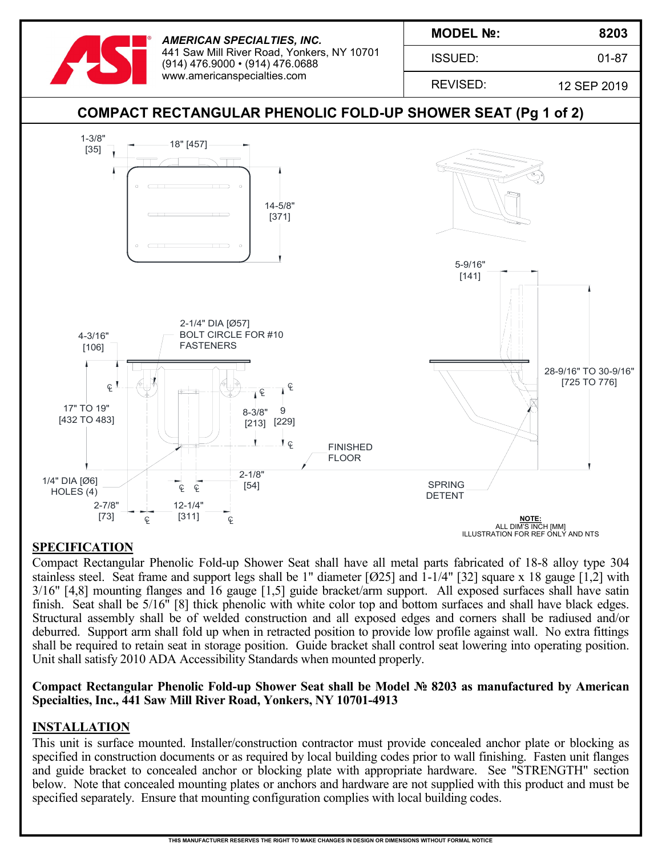

# **SPECIFICATION**

Compact Rectangular Phenolic Fold-up Shower Seat shall have all metal parts fabricated of 18-8 alloy type 304 stainless steel. Seat frame and support legs shall be 1" diameter [Ø25] and 1-1/4" [32] square x 18 gauge [1,2] with 3/16" [4,8] mounting flanges and 16 gauge [1,5] guide bracket/arm support. All exposed surfaces shall have satin finish. Seat shall be 5/16" [8] thick phenolic with white color top and bottom surfaces and shall have black edges. Structural assembly shall be of welded construction and all exposed edges and corners shall be radiused and/or deburred. Support arm shall fold up when in retracted position to provide low profile against wall. No extra fittings shall be required to retain seat in storage position. Guide bracket shall control seat lowering into operating position. Unit shall satisfy 2010 ADA Accessibility Standards when mounted properly.

### **Compact Rectangular Phenolic Fold-up Shower Seat shall be Model № 8203 as manufactured by American Specialties, Inc., 441 Saw Mill River Road, Yonkers, NY 10701-4913**

### **INSTALLATION**

This unit is surface mounted. Installer/construction contractor must provide concealed anchor plate or blocking as specified in construction documents or as required by local building codes prior to wall finishing. Fasten unit flanges and guide bracket to concealed anchor or blocking plate with appropriate hardware. See "STRENGTH" section below. Note that concealed mounting plates or anchors and hardware are not supplied with this product and must be specified separately. Ensure that mounting configuration complies with local building codes.